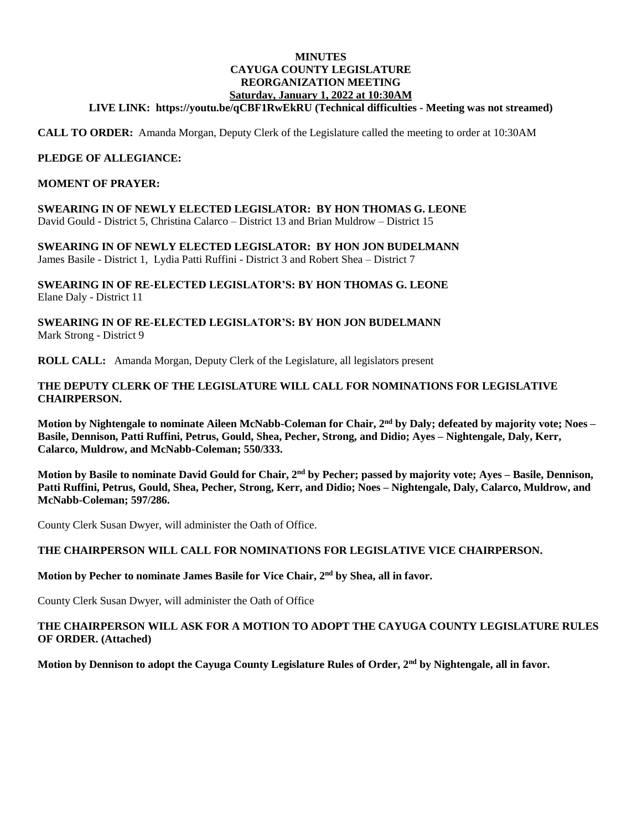### **MINUTES CAYUGA COUNTY LEGISLATURE REORGANIZATION MEETING Saturday, January 1, 2022 at 10:30AM**

### **LIVE LINK:<https://youtu.be/qCBF1RwEkRU> (Technical difficulties - Meeting was not streamed)**

**CALL TO ORDER:** Amanda Morgan, Deputy Clerk of the Legislature called the meeting to order at 10:30AM

### **PLEDGE OF ALLEGIANCE:**

#### **MOMENT OF PRAYER:**

**SWEARING IN OF NEWLY ELECTED LEGISLATOR: BY HON THOMAS G. LEONE** David Gould - District 5, Christina Calarco – District 13 and Brian Muldrow – District 15

**SWEARING IN OF NEWLY ELECTED LEGISLATOR: BY HON JON BUDELMANN** James Basile - District 1, Lydia Patti Ruffini - District 3 and Robert Shea – District 7

**SWEARING IN OF RE-ELECTED LEGISLATOR'S: BY HON THOMAS G. LEONE** Elane Daly - District 11

### **SWEARING IN OF RE-ELECTED LEGISLATOR'S: BY HON JON BUDELMANN** Mark Strong - District 9

**ROLL CALL:** Amanda Morgan, Deputy Clerk of the Legislature, all legislators present

### **THE DEPUTY CLERK OF THE LEGISLATURE WILL CALL FOR NOMINATIONS FOR LEGISLATIVE CHAIRPERSON.**

**Motion by Nightengale to nominate Aileen McNabb-Coleman for Chair, 2nd by Daly; defeated by majority vote; Noes – Basile, Dennison, Patti Ruffini, Petrus, Gould, Shea, Pecher, Strong, and Didio; Ayes – Nightengale, Daly, Kerr, Calarco, Muldrow, and McNabb-Coleman; 550/333.** 

**Motion by Basile to nominate David Gould for Chair, 2nd by Pecher; passed by majority vote; Ayes – Basile, Dennison, Patti Ruffini, Petrus, Gould, Shea, Pecher, Strong, Kerr, and Didio; Noes – Nightengale, Daly, Calarco, Muldrow, and McNabb-Coleman; 597/286.** 

County Clerk Susan Dwyer, will administer the Oath of Office.

### **THE CHAIRPERSON WILL CALL FOR NOMINATIONS FOR LEGISLATIVE VICE CHAIRPERSON.**

### **Motion by Pecher to nominate James Basile for Vice Chair, 2nd by Shea, all in favor.**

County Clerk Susan Dwyer, will administer the Oath of Office

### **THE CHAIRPERSON WILL ASK FOR A MOTION TO ADOPT THE CAYUGA COUNTY LEGISLATURE RULES OF ORDER. (Attached)**

**Motion by Dennison to adopt the Cayuga County Legislature Rules of Order, 2nd by Nightengale, all in favor.**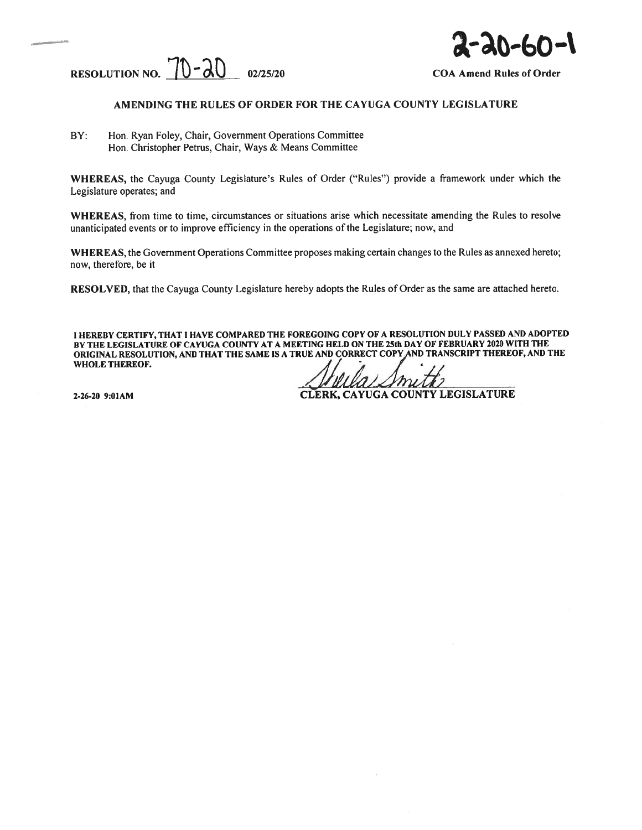



#### AMENDING THE RULES OF ORDER FOR THE CAYUGA COUNTY LEGISLATURE

BY: Hon. Ryan Foley, Chair, Government Operations Committee Hon. Christopher Petrus, Chair, Ways & Means Committee

WHEREAS, the Cayuga County Legislature's Rules of Order ("Rules") provide <sup>a</sup> framework under which the Legislature operates; and

WHEREAS. from time to time, circumstances or situations arise which necessitate amending the Rules to resolve unanticipated events or to improve efficiency in the operations of the Legislature; now, and

WHEREAS, the Government Operations Committee proposes making certain changes to the Rules as annexed hereto; now, therefore, be it

RESOLVED, that the Cayuga County Legislature hereby adopts the Rules of Order as the same are attached hereto.

<sup>I</sup> HEREBY CERTIFY, THAT <sup>I</sup> HAVE COMPARED THE FOREGOING COPY OF <sup>A</sup> RESOLUTION DULY PASSED AND ADOPTED BY THE LEGISLATURE OF CAYUGA COUNTY AT A MEETING HELD ON THE 25th DAY OF FEBRUARY 2020 WITH THE ORIGINAL RESOLUTION, AND THAT THE SAME IS A TRUE AND CORRECT COPY AND TRANSCRIPT THEREOF, AND THE WHOLE THEREOF.

2-26-20 9:01AM CLERK, CAYUGA COUNTY LEGISLATURE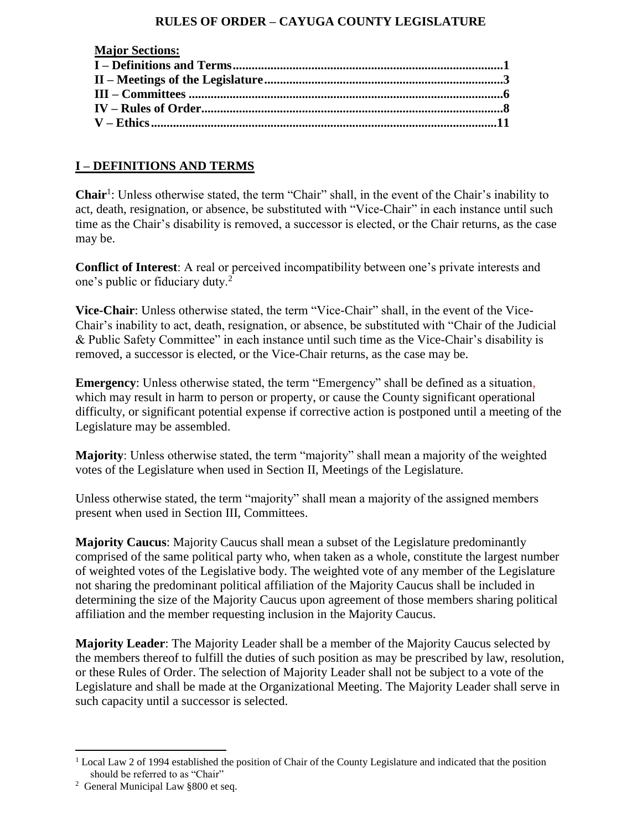## **RULES OF ORDER – CAYUGA COUNTY LEGISLATURE**

| <b>Major Sections:</b> |  |
|------------------------|--|
|                        |  |
|                        |  |
|                        |  |
|                        |  |
|                        |  |
|                        |  |

## **I – DEFINITIONS AND TERMS**

Chair<sup>1</sup>: Unless otherwise stated, the term "Chair" shall, in the event of the Chair's inability to act, death, resignation, or absence, be substituted with "Vice-Chair" in each instance until such time as the Chair's disability is removed, a successor is elected, or the Chair returns, as the case may be.

**Conflict of Interest**: A real or perceived incompatibility between one's private interests and one's public or fiduciary duty.<sup>2</sup>

**Vice-Chair**: Unless otherwise stated, the term "Vice-Chair" shall, in the event of the Vice-Chair's inability to act, death, resignation, or absence, be substituted with "Chair of the Judicial & Public Safety Committee" in each instance until such time as the Vice-Chair's disability is removed, a successor is elected, or the Vice-Chair returns, as the case may be.

**Emergency**: Unless otherwise stated, the term "Emergency" shall be defined as a situation, which may result in harm to person or property, or cause the County significant operational difficulty, or significant potential expense if corrective action is postponed until a meeting of the Legislature may be assembled.

**Majority**: Unless otherwise stated, the term "majority" shall mean a majority of the weighted votes of the Legislature when used in Section II, Meetings of the Legislature.

Unless otherwise stated, the term "majority" shall mean a majority of the assigned members present when used in Section III, Committees.

**Majority Caucus**: Majority Caucus shall mean a subset of the Legislature predominantly comprised of the same political party who, when taken as a whole, constitute the largest number of weighted votes of the Legislative body. The weighted vote of any member of the Legislature not sharing the predominant political affiliation of the Majority Caucus shall be included in determining the size of the Majority Caucus upon agreement of those members sharing political affiliation and the member requesting inclusion in the Majority Caucus.

**Majority Leader**: The Majority Leader shall be a member of the Majority Caucus selected by the members thereof to fulfill the duties of such position as may be prescribed by law, resolution, or these Rules of Order. The selection of Majority Leader shall not be subject to a vote of the Legislature and shall be made at the Organizational Meeting. The Majority Leader shall serve in such capacity until a successor is selected.

 $\overline{a}$ 

<sup>&</sup>lt;sup>1</sup> Local Law 2 of 1994 established the position of Chair of the County Legislature and indicated that the position should be referred to as "Chair"

<sup>&</sup>lt;sup>2</sup> General Municipal Law §800 et seq.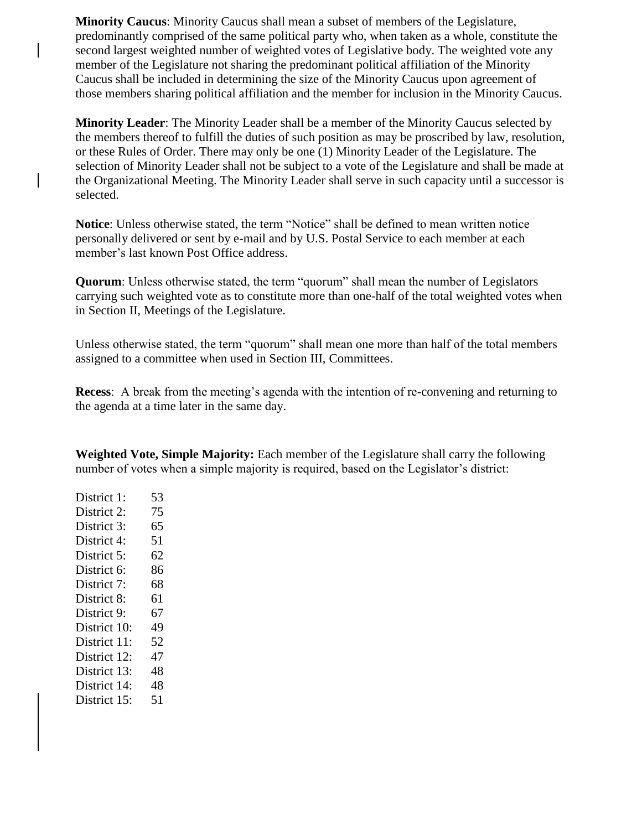**Minority Caucus**: Minority Caucus shall mean a subset of members of the Legislature, predominantly comprised of the same political party who, when taken as a whole, constitute the second largest weighted number of weighted votes of Legislative body. The weighted vote any member of the Legislature not sharing the predominant political affiliation of the Minority Caucus shall be included in determining the size of the Minority Caucus upon agreement of those members sharing political affiliation and the member for inclusion in the Minority Caucus.

**Minority Leader**: The Minority Leader shall be a member of the Minority Caucus selected by the members thereof to fulfill the duties of such position as may be proscribed by law, resolution, or these Rules of Order. There may only be one (1) Minority Leader of the Legislature. The selection of Minority Leader shall not be subject to a vote of the Legislature and shall be made at the Organizational Meeting. The Minority Leader shall serve in such capacity until a successor is selected.

**Notice**: Unless otherwise stated, the term "Notice" shall be defined to mean written notice personally delivered or sent by e-mail and by U.S. Postal Service to each member at each member's last known Post Office address.

**Quorum**: Unless otherwise stated, the term "quorum" shall mean the number of Legislators carrying such weighted vote as to constitute more than one-half of the total weighted votes when in Section II, Meetings of the Legislature.

Unless otherwise stated, the term "quorum" shall mean one more than half of the total members assigned to a committee when used in Section III, Committees.

**Recess**: A break from the meeting's agenda with the intention of re-convening and returning to the agenda at a time later in the same day.

**Weighted Vote, Simple Majority:** Each member of the Legislature shall carry the following number of votes when a simple majority is required, based on the Legislator's district:

District 1: 53 District 2: 75 District 3: 65 District 4: 51 District 5: 62 District 6: 86 District 7: 68 District 8: 61 District 9: 67 District 10: 49 District 11: 52 District 12: 47 District 13: 48 District 14: 48 District 15: 51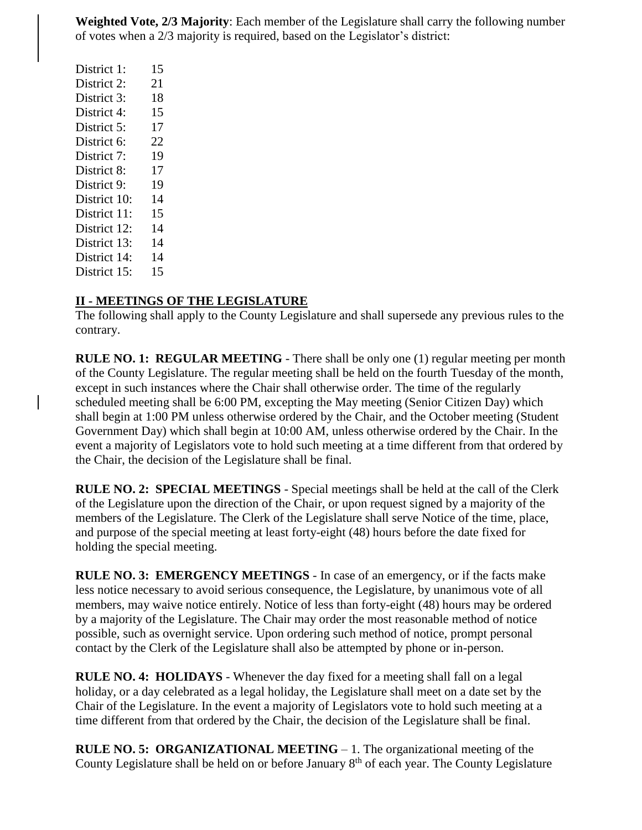**Weighted Vote, 2/3 Majority**: Each member of the Legislature shall carry the following number of votes when a 2/3 majority is required, based on the Legislator's district:

District 1: 15 District 2: 21 District 3: 18 District 4: 15 District 5: 17 District 6: 22 District 7: 19 District 8: 17 District 9: 19 District 10: 14 District 11: 15 District 12: 14 District 13: 14 District 14: 14 District 15: 15

### **II - MEETINGS OF THE LEGISLATURE**

The following shall apply to the County Legislature and shall supersede any previous rules to the contrary.

**RULE NO. 1: REGULAR MEETING** - There shall be only one (1) regular meeting per month of the County Legislature. The regular meeting shall be held on the fourth Tuesday of the month, except in such instances where the Chair shall otherwise order. The time of the regularly scheduled meeting shall be 6:00 PM, excepting the May meeting (Senior Citizen Day) which shall begin at 1:00 PM unless otherwise ordered by the Chair, and the October meeting (Student Government Day) which shall begin at 10:00 AM, unless otherwise ordered by the Chair. In the event a majority of Legislators vote to hold such meeting at a time different from that ordered by the Chair, the decision of the Legislature shall be final.

**RULE NO. 2: SPECIAL MEETINGS** - Special meetings shall be held at the call of the Clerk of the Legislature upon the direction of the Chair, or upon request signed by a majority of the members of the Legislature. The Clerk of the Legislature shall serve Notice of the time, place, and purpose of the special meeting at least forty-eight (48) hours before the date fixed for holding the special meeting.

**RULE NO. 3: EMERGENCY MEETINGS** - In case of an emergency, or if the facts make less notice necessary to avoid serious consequence, the Legislature, by unanimous vote of all members, may waive notice entirely. Notice of less than forty-eight (48) hours may be ordered by a majority of the Legislature. The Chair may order the most reasonable method of notice possible, such as overnight service. Upon ordering such method of notice, prompt personal contact by the Clerk of the Legislature shall also be attempted by phone or in-person.

**RULE NO. 4: HOLIDAYS** - Whenever the day fixed for a meeting shall fall on a legal holiday, or a day celebrated as a legal holiday, the Legislature shall meet on a date set by the Chair of the Legislature. In the event a majority of Legislators vote to hold such meeting at a time different from that ordered by the Chair, the decision of the Legislature shall be final.

**RULE NO. 5: ORGANIZATIONAL MEETING** – 1. The organizational meeting of the County Legislature shall be held on or before January 8<sup>th</sup> of each year. The County Legislature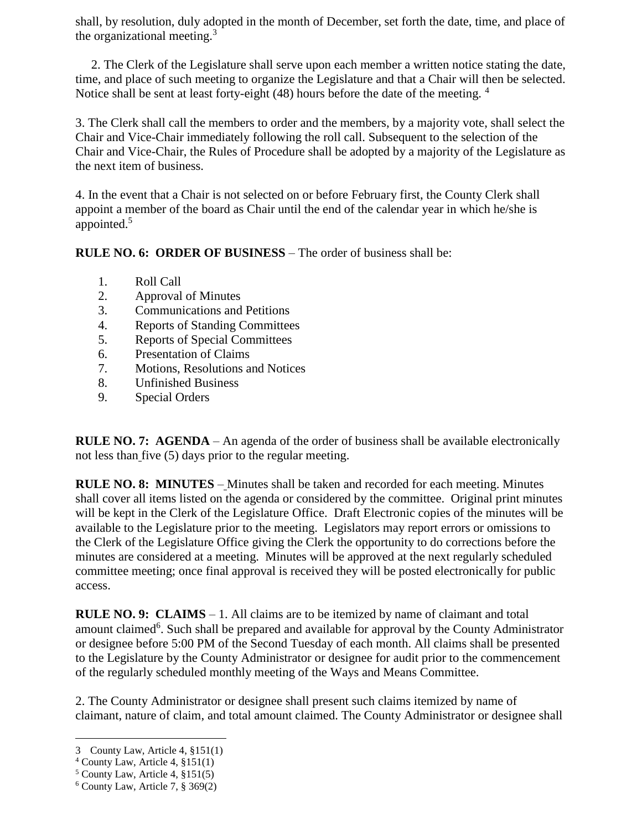shall, by resolution, duly adopted in the month of December, set forth the date, time, and place of the organizational meeting.<sup>3</sup>

 2. The Clerk of the Legislature shall serve upon each member a written notice stating the date, time, and place of such meeting to organize the Legislature and that a Chair will then be selected. Notice shall be sent at least forty-eight (48) hours before the date of the meeting. <sup>4</sup>

3. The Clerk shall call the members to order and the members, by a majority vote, shall select the Chair and Vice-Chair immediately following the roll call. Subsequent to the selection of the Chair and Vice-Chair, the Rules of Procedure shall be adopted by a majority of the Legislature as the next item of business.

4. In the event that a Chair is not selected on or before February first, the County Clerk shall appoint a member of the board as Chair until the end of the calendar year in which he/she is appointed.<sup>5</sup>

**RULE NO. 6: ORDER OF BUSINESS** – The order of business shall be:

- 1. Roll Call
- 2. Approval of Minutes
- 3. Communications and Petitions
- 4. Reports of Standing Committees
- 5. Reports of Special Committees
- 6. Presentation of Claims
- 7. Motions, Resolutions and Notices
- 8. Unfinished Business
- 9. Special Orders

**RULE NO. 7: AGENDA** – An agenda of the order of business shall be available electronically not less than five (5) days prior to the regular meeting.

**RULE NO. 8: MINUTES** – Minutes shall be taken and recorded for each meeting. Minutes shall cover all items listed on the agenda or considered by the committee. Original print minutes will be kept in the Clerk of the Legislature Office. Draft Electronic copies of the minutes will be available to the Legislature prior to the meeting. Legislators may report errors or omissions to the Clerk of the Legislature Office giving the Clerk the opportunity to do corrections before the minutes are considered at a meeting. Minutes will be approved at the next regularly scheduled committee meeting; once final approval is received they will be posted electronically for public access.

**RULE NO. 9: CLAIMS** – 1. All claims are to be itemized by name of claimant and total amount claimed<sup>6</sup>. Such shall be prepared and available for approval by the County Administrator or designee before 5:00 PM of the Second Tuesday of each month. All claims shall be presented to the Legislature by the County Administrator or designee for audit prior to the commencement of the regularly scheduled monthly meeting of the Ways and Means Committee.

2. The County Administrator or designee shall present such claims itemized by name of claimant, nature of claim, and total amount claimed. The County Administrator or designee shall

 $\overline{a}$ 3 County Law, Article 4, §151(1)

 $4$  County Law, Article 4,  $§151(1)$ 

 $5$  County Law, Article 4,  $§151(5)$ 

 $6$  County Law, Article 7,  $§$  369(2)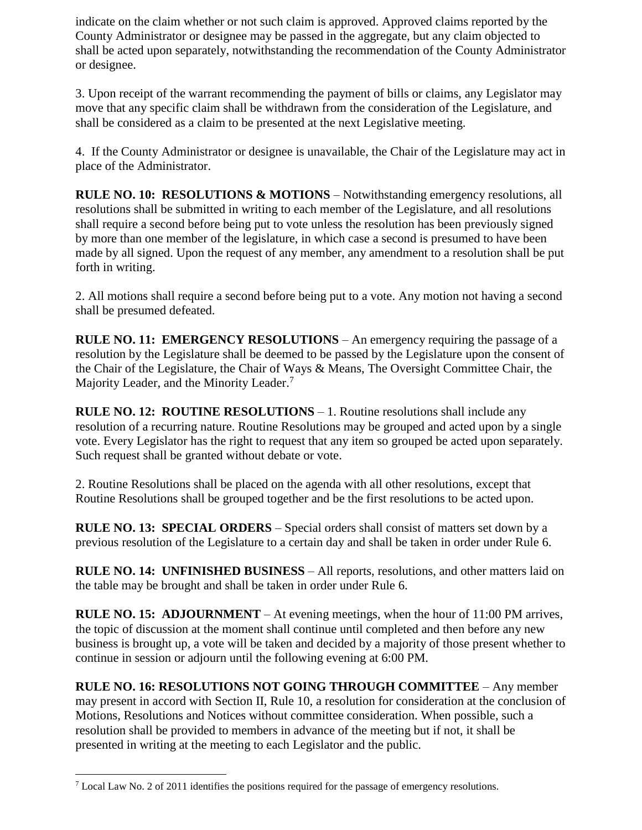indicate on the claim whether or not such claim is approved. Approved claims reported by the County Administrator or designee may be passed in the aggregate, but any claim objected to shall be acted upon separately, notwithstanding the recommendation of the County Administrator or designee.

3. Upon receipt of the warrant recommending the payment of bills or claims, any Legislator may move that any specific claim shall be withdrawn from the consideration of the Legislature, and shall be considered as a claim to be presented at the next Legislative meeting.

4. If the County Administrator or designee is unavailable, the Chair of the Legislature may act in place of the Administrator.

**RULE NO. 10: RESOLUTIONS & MOTIONS** – Notwithstanding emergency resolutions, all resolutions shall be submitted in writing to each member of the Legislature, and all resolutions shall require a second before being put to vote unless the resolution has been previously signed by more than one member of the legislature, in which case a second is presumed to have been made by all signed. Upon the request of any member, any amendment to a resolution shall be put forth in writing.

2. All motions shall require a second before being put to a vote. Any motion not having a second shall be presumed defeated.

**RULE NO. 11: EMERGENCY RESOLUTIONS** – An emergency requiring the passage of a resolution by the Legislature shall be deemed to be passed by the Legislature upon the consent of the Chair of the Legislature, the Chair of Ways & Means, The Oversight Committee Chair, the Majority Leader, and the Minority Leader.<sup>7</sup>

**RULE NO. 12: ROUTINE RESOLUTIONS** – 1. Routine resolutions shall include any resolution of a recurring nature. Routine Resolutions may be grouped and acted upon by a single vote. Every Legislator has the right to request that any item so grouped be acted upon separately. Such request shall be granted without debate or vote.

2. Routine Resolutions shall be placed on the agenda with all other resolutions, except that Routine Resolutions shall be grouped together and be the first resolutions to be acted upon.

**RULE NO. 13: SPECIAL ORDERS** – Special orders shall consist of matters set down by a previous resolution of the Legislature to a certain day and shall be taken in order under Rule 6.

**RULE NO. 14: UNFINISHED BUSINESS** – All reports, resolutions, and other matters laid on the table may be brought and shall be taken in order under Rule 6.

**RULE NO. 15: ADJOURNMENT** – At evening meetings, when the hour of 11:00 PM arrives, the topic of discussion at the moment shall continue until completed and then before any new business is brought up, a vote will be taken and decided by a majority of those present whether to continue in session or adjourn until the following evening at 6:00 PM.

**RULE NO. 16: RESOLUTIONS NOT GOING THROUGH COMMITTEE** – Any member may present in accord with Section II, Rule 10, a resolution for consideration at the conclusion of Motions, Resolutions and Notices without committee consideration. When possible, such a resolution shall be provided to members in advance of the meeting but if not, it shall be presented in writing at the meeting to each Legislator and the public.

 $\overline{a}$ 

 $<sup>7</sup>$  Local Law No. 2 of 2011 identifies the positions required for the passage of emergency resolutions.</sup>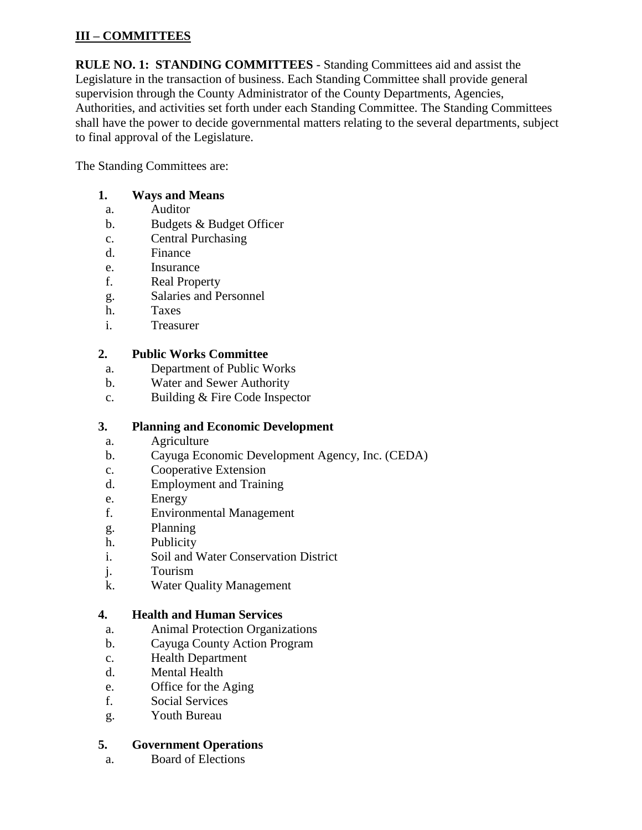# **III – COMMITTEES**

**RULE NO. 1: STANDING COMMITTEES** - Standing Committees aid and assist the Legislature in the transaction of business. Each Standing Committee shall provide general supervision through the County Administrator of the County Departments, Agencies, Authorities, and activities set forth under each Standing Committee. The Standing Committees shall have the power to decide governmental matters relating to the several departments, subject to final approval of the Legislature.

The Standing Committees are:

## **1. Ways and Means**

- a. Auditor
- b. Budgets & Budget Officer
- c. Central Purchasing
- d. Finance
- e. Insurance
- f. Real Property
- g. Salaries and Personnel
- h. Taxes
- i. Treasurer

# **2. Public Works Committee**

- a. Department of Public Works
- b. Water and Sewer Authority
- c. Building & Fire Code Inspector

## **3. Planning and Economic Development**

- a. Agriculture
- b. Cayuga Economic Development Agency, Inc. (CEDA)
- c. Cooperative Extension
- d. Employment and Training
- e. Energy
- f. Environmental Management
- g. Planning
- h. Publicity
- i. Soil and Water Conservation District
- j. Tourism
- k. Water Quality Management

# **4. Health and Human Services**

- a. Animal Protection Organizations
- b. Cayuga County Action Program
- c. Health Department
- d. Mental Health
- e. Office for the Aging
- f. Social Services
- g. Youth Bureau

## **5. Government Operations**

a. Board of Elections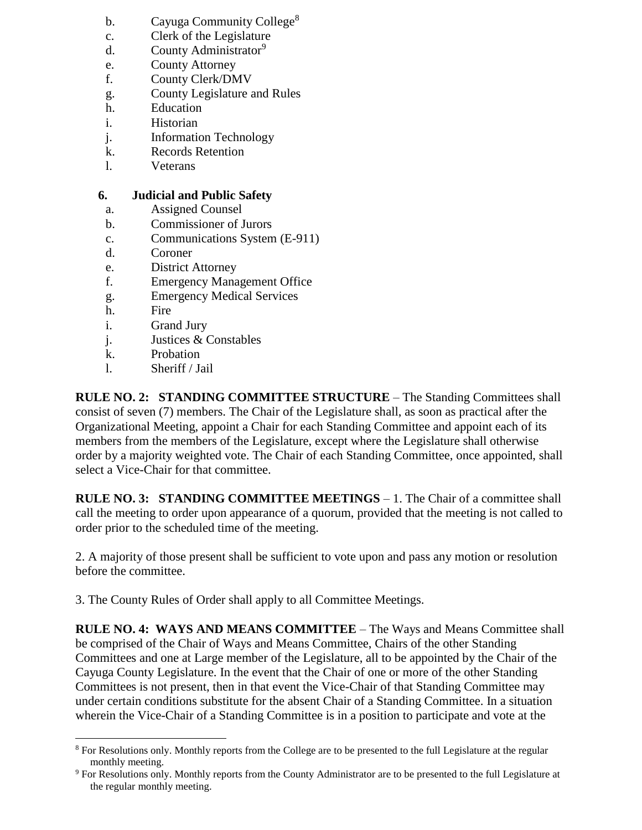- b. Cayuga Community College<sup>8</sup>
- c. Clerk of the Legislature
- d. County Administrator<sup>9</sup>
- e. County Attorney
- f. County Clerk/DMV
- g. County Legislature and Rules
- h. Education
- i. Historian
- j. Information Technology
- k. Records Retention
- l. Veterans

## **6. Judicial and Public Safety**

- a. Assigned Counsel
- b. Commissioner of Jurors
- c. Communications System (E-911)
- d. Coroner
- e. District Attorney
- f. Emergency Management Office
- g. Emergency Medical Services
- h. Fire
- i. Grand Jury
- j. Justices & Constables
- k. Probation
- l. Sheriff / Jail

**RULE NO. 2: STANDING COMMITTEE STRUCTURE** – The Standing Committees shall consist of seven (7) members. The Chair of the Legislature shall, as soon as practical after the Organizational Meeting, appoint a Chair for each Standing Committee and appoint each of its members from the members of the Legislature, except where the Legislature shall otherwise order by a majority weighted vote. The Chair of each Standing Committee, once appointed, shall select a Vice-Chair for that committee.

**RULE NO. 3: STANDING COMMITTEE MEETINGS** – 1. The Chair of a committee shall call the meeting to order upon appearance of a quorum, provided that the meeting is not called to order prior to the scheduled time of the meeting.

2. A majority of those present shall be sufficient to vote upon and pass any motion or resolution before the committee.

3. The County Rules of Order shall apply to all Committee Meetings.

**RULE NO. 4: WAYS AND MEANS COMMITTEE** – The Ways and Means Committee shall be comprised of the Chair of Ways and Means Committee, Chairs of the other Standing Committees and one at Large member of the Legislature, all to be appointed by the Chair of the Cayuga County Legislature. In the event that the Chair of one or more of the other Standing Committees is not present, then in that event the Vice-Chair of that Standing Committee may under certain conditions substitute for the absent Chair of a Standing Committee. In a situation wherein the Vice-Chair of a Standing Committee is in a position to participate and vote at the

 $\overline{a}$ <sup>8</sup> For Resolutions only. Monthly reports from the College are to be presented to the full Legislature at the regular monthly meeting.

<sup>9</sup> For Resolutions only. Monthly reports from the County Administrator are to be presented to the full Legislature at the regular monthly meeting.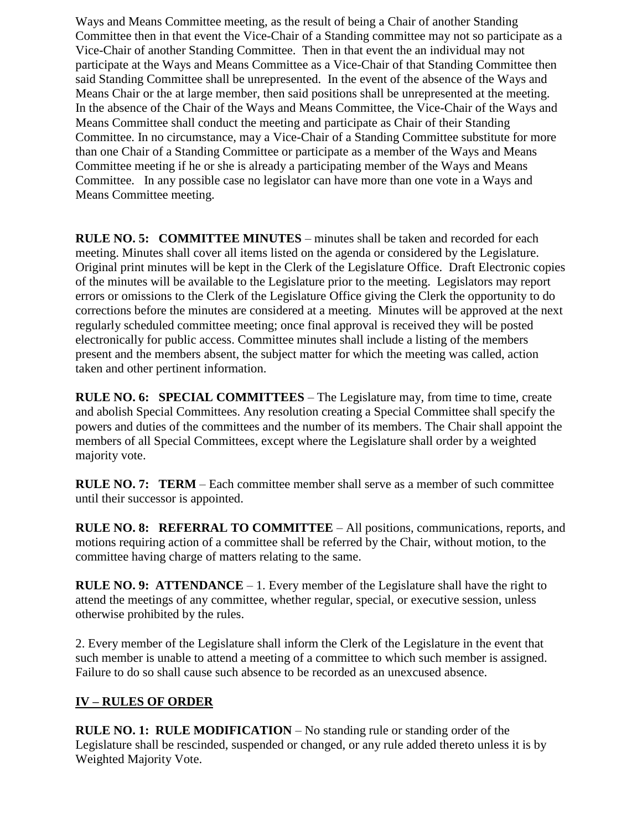Ways and Means Committee meeting, as the result of being a Chair of another Standing Committee then in that event the Vice-Chair of a Standing committee may not so participate as a Vice-Chair of another Standing Committee. Then in that event the an individual may not participate at the Ways and Means Committee as a Vice-Chair of that Standing Committee then said Standing Committee shall be unrepresented. In the event of the absence of the Ways and Means Chair or the at large member, then said positions shall be unrepresented at the meeting. In the absence of the Chair of the Ways and Means Committee, the Vice-Chair of the Ways and Means Committee shall conduct the meeting and participate as Chair of their Standing Committee. In no circumstance, may a Vice-Chair of a Standing Committee substitute for more than one Chair of a Standing Committee or participate as a member of the Ways and Means Committee meeting if he or she is already a participating member of the Ways and Means Committee. In any possible case no legislator can have more than one vote in a Ways and Means Committee meeting.

**RULE NO. 5: COMMITTEE MINUTES** – minutes shall be taken and recorded for each meeting. Minutes shall cover all items listed on the agenda or considered by the Legislature. Original print minutes will be kept in the Clerk of the Legislature Office. Draft Electronic copies of the minutes will be available to the Legislature prior to the meeting. Legislators may report errors or omissions to the Clerk of the Legislature Office giving the Clerk the opportunity to do corrections before the minutes are considered at a meeting. Minutes will be approved at the next regularly scheduled committee meeting; once final approval is received they will be posted electronically for public access. Committee minutes shall include a listing of the members present and the members absent, the subject matter for which the meeting was called, action taken and other pertinent information.

**RULE NO. 6: SPECIAL COMMITTEES** – The Legislature may, from time to time, create and abolish Special Committees. Any resolution creating a Special Committee shall specify the powers and duties of the committees and the number of its members. The Chair shall appoint the members of all Special Committees, except where the Legislature shall order by a weighted majority vote.

**RULE NO. 7: TERM** – Each committee member shall serve as a member of such committee until their successor is appointed.

**RULE NO. 8: REFERRAL TO COMMITTEE** – All positions, communications, reports, and motions requiring action of a committee shall be referred by the Chair, without motion, to the committee having charge of matters relating to the same.

**RULE NO. 9: ATTENDANCE** – 1. Every member of the Legislature shall have the right to attend the meetings of any committee, whether regular, special, or executive session, unless otherwise prohibited by the rules.

2. Every member of the Legislature shall inform the Clerk of the Legislature in the event that such member is unable to attend a meeting of a committee to which such member is assigned. Failure to do so shall cause such absence to be recorded as an unexcused absence.

## **IV – RULES OF ORDER**

**RULE NO. 1: RULE MODIFICATION** – No standing rule or standing order of the Legislature shall be rescinded, suspended or changed, or any rule added thereto unless it is by Weighted Majority Vote.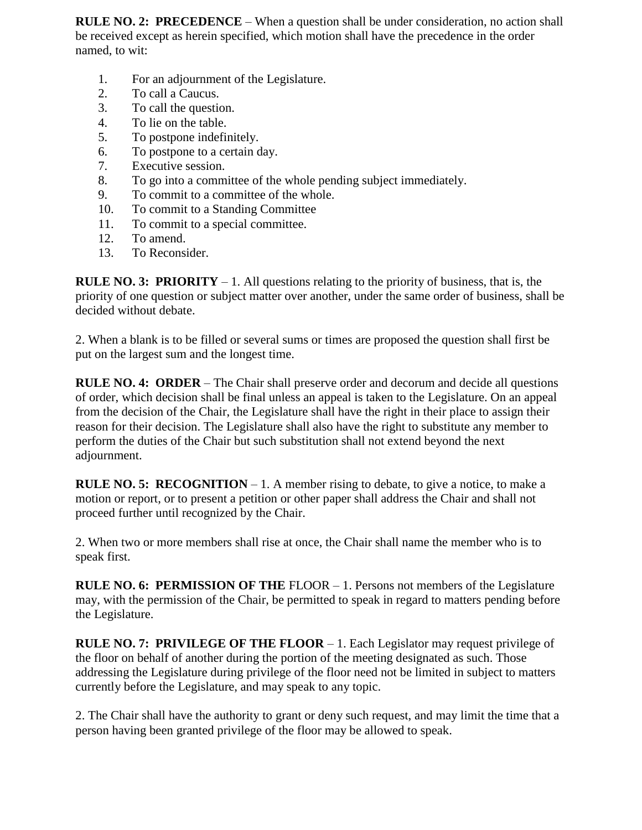**RULE NO. 2: PRECEDENCE** – When a question shall be under consideration, no action shall be received except as herein specified, which motion shall have the precedence in the order named, to wit:

- 1. For an adjournment of the Legislature.
- 2. To call a Caucus.
- 3. To call the question.
- 4. To lie on the table.
- 5. To postpone indefinitely.
- 6. To postpone to a certain day.
- 7. Executive session.
- 8. To go into a committee of the whole pending subject immediately.
- 9. To commit to a committee of the whole.
- 10. To commit to a Standing Committee
- 11. To commit to a special committee.
- 12. To amend.
- 13. To Reconsider.

**RULE NO. 3: PRIORITY** – 1. All questions relating to the priority of business, that is, the priority of one question or subject matter over another, under the same order of business, shall be decided without debate.

2. When a blank is to be filled or several sums or times are proposed the question shall first be put on the largest sum and the longest time.

**RULE NO. 4: ORDER** – The Chair shall preserve order and decorum and decide all questions of order, which decision shall be final unless an appeal is taken to the Legislature. On an appeal from the decision of the Chair, the Legislature shall have the right in their place to assign their reason for their decision. The Legislature shall also have the right to substitute any member to perform the duties of the Chair but such substitution shall not extend beyond the next adjournment.

**RULE NO. 5: RECOGNITION** – 1. A member rising to debate, to give a notice, to make a motion or report, or to present a petition or other paper shall address the Chair and shall not proceed further until recognized by the Chair.

2. When two or more members shall rise at once, the Chair shall name the member who is to speak first.

**RULE NO. 6: PERMISSION OF THE** FLOOR – 1. Persons not members of the Legislature may, with the permission of the Chair, be permitted to speak in regard to matters pending before the Legislature.

**RULE NO. 7: PRIVILEGE OF THE FLOOR** – 1. Each Legislator may request privilege of the floor on behalf of another during the portion of the meeting designated as such. Those addressing the Legislature during privilege of the floor need not be limited in subject to matters currently before the Legislature, and may speak to any topic.

2. The Chair shall have the authority to grant or deny such request, and may limit the time that a person having been granted privilege of the floor may be allowed to speak.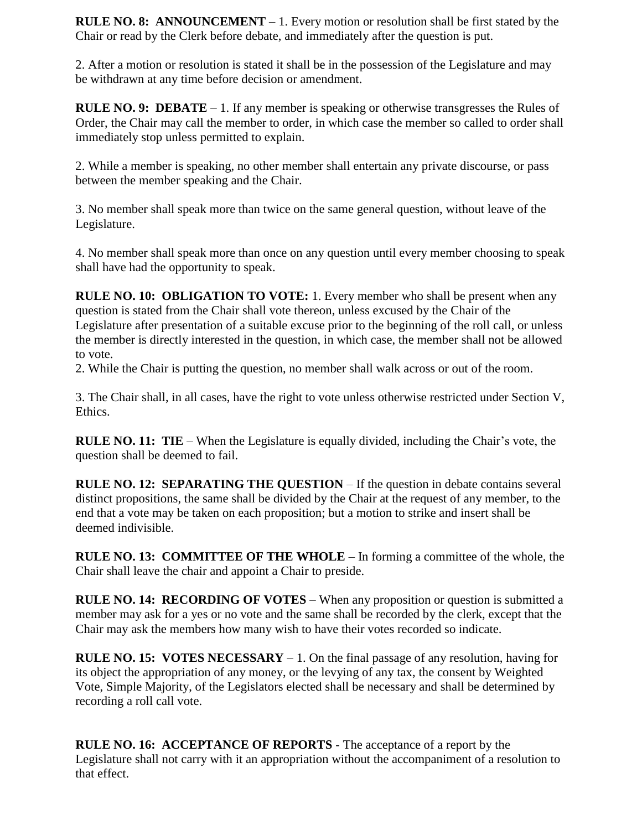**RULE NO. 8: ANNOUNCEMENT** – 1. Every motion or resolution shall be first stated by the Chair or read by the Clerk before debate, and immediately after the question is put.

2. After a motion or resolution is stated it shall be in the possession of the Legislature and may be withdrawn at any time before decision or amendment.

**RULE NO. 9: DEBATE** – 1. If any member is speaking or otherwise transgresses the Rules of Order, the Chair may call the member to order, in which case the member so called to order shall immediately stop unless permitted to explain.

2. While a member is speaking, no other member shall entertain any private discourse, or pass between the member speaking and the Chair.

3. No member shall speak more than twice on the same general question, without leave of the Legislature.

4. No member shall speak more than once on any question until every member choosing to speak shall have had the opportunity to speak.

**RULE NO. 10: OBLIGATION TO VOTE:** 1. Every member who shall be present when any question is stated from the Chair shall vote thereon, unless excused by the Chair of the Legislature after presentation of a suitable excuse prior to the beginning of the roll call, or unless the member is directly interested in the question, in which case, the member shall not be allowed to vote.

2. While the Chair is putting the question, no member shall walk across or out of the room.

3. The Chair shall, in all cases, have the right to vote unless otherwise restricted under Section V, Ethics.

**RULE NO. 11: TIE** – When the Legislature is equally divided, including the Chair's vote, the question shall be deemed to fail.

**RULE NO. 12: SEPARATING THE QUESTION** – If the question in debate contains several distinct propositions, the same shall be divided by the Chair at the request of any member, to the end that a vote may be taken on each proposition; but a motion to strike and insert shall be deemed indivisible.

**RULE NO. 13: COMMITTEE OF THE WHOLE** – In forming a committee of the whole, the Chair shall leave the chair and appoint a Chair to preside.

**RULE NO. 14: RECORDING OF VOTES** – When any proposition or question is submitted a member may ask for a yes or no vote and the same shall be recorded by the clerk, except that the Chair may ask the members how many wish to have their votes recorded so indicate.

**RULE NO. 15: VOTES NECESSARY** – 1. On the final passage of any resolution, having for its object the appropriation of any money, or the levying of any tax, the consent by Weighted Vote, Simple Majority, of the Legislators elected shall be necessary and shall be determined by recording a roll call vote.

**RULE NO. 16: ACCEPTANCE OF REPORTS** - The acceptance of a report by the Legislature shall not carry with it an appropriation without the accompaniment of a resolution to that effect.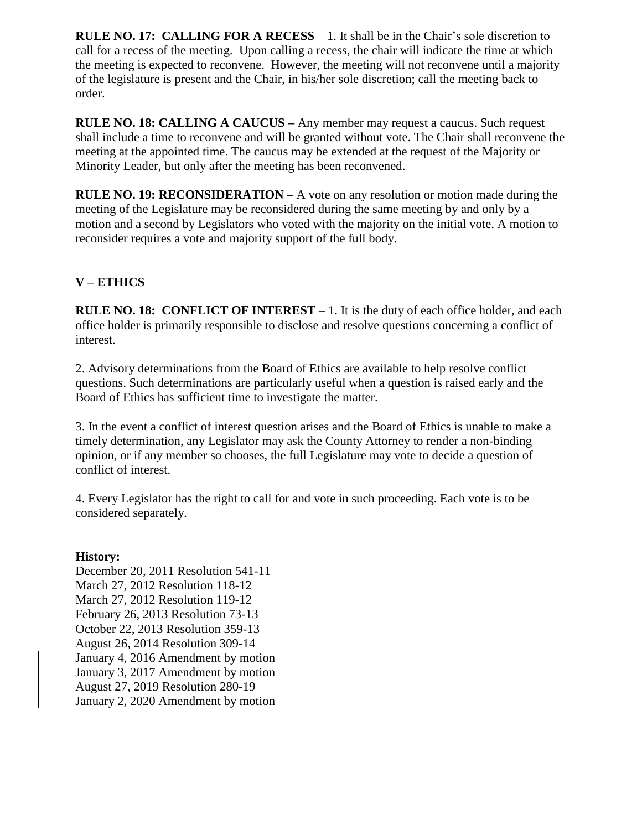**RULE NO. 17: CALLING FOR A RECESS** – 1. It shall be in the Chair's sole discretion to call for a recess of the meeting. Upon calling a recess, the chair will indicate the time at which the meeting is expected to reconvene. However, the meeting will not reconvene until a majority of the legislature is present and the Chair, in his/her sole discretion; call the meeting back to order.

**RULE NO. 18: CALLING A CAUCUS –** Any member may request a caucus. Such request shall include a time to reconvene and will be granted without vote. The Chair shall reconvene the meeting at the appointed time. The caucus may be extended at the request of the Majority or Minority Leader, but only after the meeting has been reconvened.

**RULE NO. 19: RECONSIDERATION –** A vote on any resolution or motion made during the meeting of the Legislature may be reconsidered during the same meeting by and only by a motion and a second by Legislators who voted with the majority on the initial vote. A motion to reconsider requires a vote and majority support of the full body.

# **V – ETHICS**

**RULE NO. 18: CONFLICT OF INTEREST** – 1. It is the duty of each office holder, and each office holder is primarily responsible to disclose and resolve questions concerning a conflict of interest.

2. Advisory determinations from the Board of Ethics are available to help resolve conflict questions. Such determinations are particularly useful when a question is raised early and the Board of Ethics has sufficient time to investigate the matter.

3. In the event a conflict of interest question arises and the Board of Ethics is unable to make a timely determination, any Legislator may ask the County Attorney to render a non-binding opinion, or if any member so chooses, the full Legislature may vote to decide a question of conflict of interest.

4. Every Legislator has the right to call for and vote in such proceeding. Each vote is to be considered separately.

### **History:**

December 20, 2011 Resolution 541-11 March 27, 2012 Resolution 118-12 March 27, 2012 Resolution 119-12 February 26, 2013 Resolution 73-13 October 22, 2013 Resolution 359-13 August 26, 2014 Resolution 309-14 January 4, 2016 Amendment by motion January 3, 2017 Amendment by motion August 27, 2019 Resolution 280-19 January 2, 2020 Amendment by motion